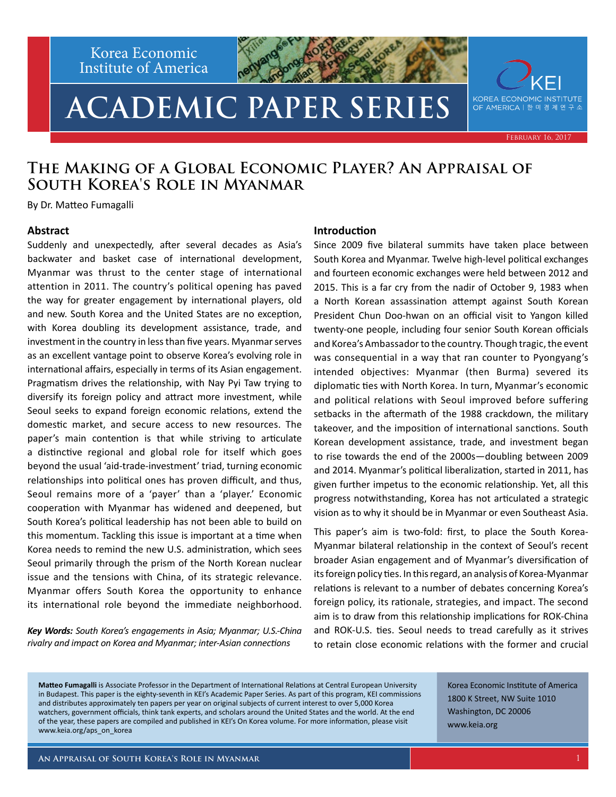Korea Economic Institute of America

# **ACADEMIC PAPER SERIES**



February 16, 2017

### **The Making of a Global Economic Player? An Appraisal of South Korea's Role in Myanmar**

By Dr. Matteo Fumagalli

#### **Abstract**

Suddenly and unexpectedly, after several decades as Asia's backwater and basket case of international development, Myanmar was thrust to the center stage of international attention in 2011. The country's political opening has paved the way for greater engagement by international players, old and new. South Korea and the United States are no exception, with Korea doubling its development assistance, trade, and investment in the country in less than five years. Myanmar serves as an excellent vantage point to observe Korea's evolving role in international affairs, especially in terms of its Asian engagement. Pragmatism drives the relationship, with Nay Pyi Taw trying to diversify its foreign policy and attract more investment, while Seoul seeks to expand foreign economic relations, extend the domestic market, and secure access to new resources. The paper's main contention is that while striving to articulate a distinctive regional and global role for itself which goes beyond the usual 'aid-trade-investment' triad, turning economic relationships into political ones has proven difficult, and thus, Seoul remains more of a 'payer' than a 'player.' Economic cooperation with Myanmar has widened and deepened, but South Korea's political leadership has not been able to build on this momentum. Tackling this issue is important at a time when Korea needs to remind the new U.S. administration, which sees Seoul primarily through the prism of the North Korean nuclear issue and the tensions with China, of its strategic relevance. Myanmar offers South Korea the opportunity to enhance its international role beyond the immediate neighborhood.

*Key Words: South Korea's engagements in Asia; Myanmar; U.S.-China rivalry and impact on Korea and Myanmar; inter-Asian connections*

#### **Introduction**

Since 2009 five bilateral summits have taken place between South Korea and Myanmar. Twelve high-level political exchanges and fourteen economic exchanges were held between 2012 and 2015. This is a far cry from the nadir of October 9, 1983 when a North Korean assassination attempt against South Korean President Chun Doo-hwan on an official visit to Yangon killed twenty-one people, including four senior South Korean officials and Korea's Ambassador to the country. Though tragic, the event was consequential in a way that ran counter to Pyongyang's intended objectives: Myanmar (then Burma) severed its diplomatic ties with North Korea. In turn, Myanmar's economic and political relations with Seoul improved before suffering setbacks in the aftermath of the 1988 crackdown, the military takeover, and the imposition of international sanctions. South Korean development assistance, trade, and investment began to rise towards the end of the 2000s—doubling between 2009 and 2014. Myanmar's political liberalization, started in 2011, has given further impetus to the economic relationship. Yet, all this progress notwithstanding, Korea has not articulated a strategic vision as to why it should be in Myanmar or even Southeast Asia.

This paper's aim is two-fold: first, to place the South Korea-Myanmar bilateral relationship in the context of Seoul's recent broader Asian engagement and of Myanmar's diversification of its foreign policy ties. In this regard, an analysis of Korea-Myanmar relations is relevant to a number of debates concerning Korea's foreign policy, its rationale, strategies, and impact. The second aim is to draw from this relationship implications for ROK-China and ROK-U.S. ties. Seoul needs to tread carefully as it strives to retain close economic relations with the former and crucial

**Matteo Fumagalli** is Associate Professor in the Department of International Relations at Central European University in Budapest. This paper is the eighty-seventh in KEI's Academic Paper Series. As part of this program, KEI commissions and distributes approximately ten papers per year on original subjects of current interest to over 5,000 Korea watchers, government officials, think tank experts, and scholars around the United States and the world. At the end of the year, these papers are compiled and published in KEI's On Korea volume. For more information, please visit www.keia.org/aps\_on\_korea

Korea Economic Institute of America 1800 K Street, NW Suite 1010 Washington, DC 20006 www.keia.org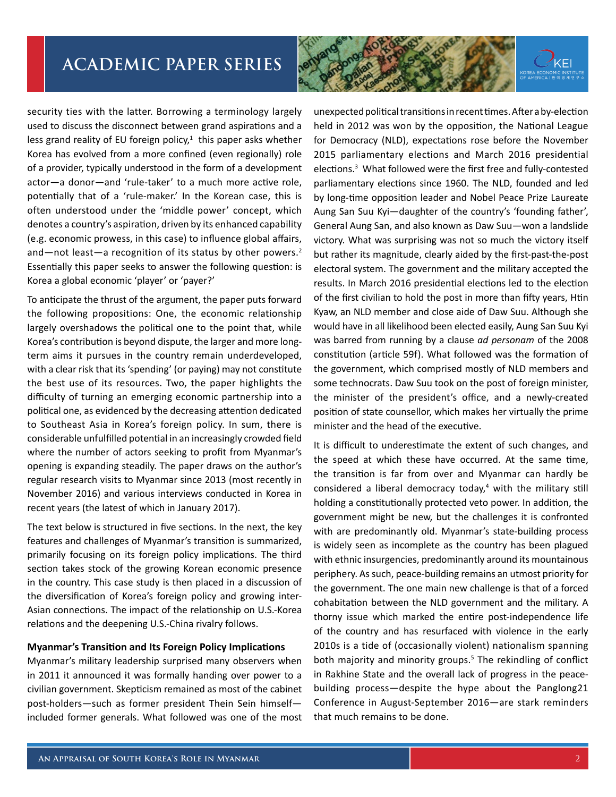

security ties with the latter. Borrowing a terminology largely used to discuss the disconnect between grand aspirations and a less grand reality of EU foreign policy, $1$  this paper asks whether Korea has evolved from a more confined (even regionally) role of a provider, typically understood in the form of a development actor—a donor—and 'rule-taker' to a much more active role, potentially that of a 'rule-maker.' In the Korean case, this is often understood under the 'middle power' concept, which denotes a country's aspiration, driven by its enhanced capability (e.g. economic prowess, in this case) to influence global affairs, and—not least—a recognition of its status by other powers.<sup>2</sup> Essentially this paper seeks to answer the following question: is Korea a global economic 'player' or 'payer?'

To anticipate the thrust of the argument, the paper puts forward the following propositions: One, the economic relationship largely overshadows the political one to the point that, while Korea's contribution is beyond dispute, the larger and more longterm aims it pursues in the country remain underdeveloped, with a clear risk that its 'spending' (or paying) may not constitute the best use of its resources. Two, the paper highlights the difficulty of turning an emerging economic partnership into a political one, as evidenced by the decreasing attention dedicated to Southeast Asia in Korea's foreign policy. In sum, there is considerable unfulfilled potential in an increasingly crowded field where the number of actors seeking to profit from Myanmar's opening is expanding steadily. The paper draws on the author's regular research visits to Myanmar since 2013 (most recently in November 2016) and various interviews conducted in Korea in recent years (the latest of which in January 2017).

The text below is structured in five sections. In the next, the key features and challenges of Myanmar's transition is summarized, primarily focusing on its foreign policy implications. The third section takes stock of the growing Korean economic presence in the country. This case study is then placed in a discussion of the diversification of Korea's foreign policy and growing inter-Asian connections. The impact of the relationship on U.S.-Korea relations and the deepening U.S.-China rivalry follows.

#### **Myanmar's Transition and Its Foreign Policy Implications**

Myanmar's military leadership surprised many observers when in 2011 it announced it was formally handing over power to a civilian government. Skepticism remained as most of the cabinet post-holders—such as former president Thein Sein himself included former generals. What followed was one of the most unexpected political transitions in recent times. After a by-election held in 2012 was won by the opposition, the National League for Democracy (NLD), expectations rose before the November 2015 parliamentary elections and March 2016 presidential elections.<sup>3</sup> What followed were the first free and fully-contested parliamentary elections since 1960. The NLD, founded and led by long-time opposition leader and Nobel Peace Prize Laureate Aung San Suu Kyi—daughter of the country's 'founding father', General Aung San, and also known as Daw Suu—won a landslide victory. What was surprising was not so much the victory itself but rather its magnitude, clearly aided by the first-past-the-post electoral system. The government and the military accepted the results. In March 2016 presidential elections led to the election of the first civilian to hold the post in more than fifty years, Htin Kyaw, an NLD member and close aide of Daw Suu. Although she would have in all likelihood been elected easily, Aung San Suu Kyi was barred from running by a clause *ad personam* of the 2008 constitution (article 59f). What followed was the formation of the government, which comprised mostly of NLD members and some technocrats. Daw Suu took on the post of foreign minister, the minister of the president's office, and a newly-created position of state counsellor, which makes her virtually the prime minister and the head of the executive.

It is difficult to underestimate the extent of such changes, and the speed at which these have occurred. At the same time, the transition is far from over and Myanmar can hardly be considered a liberal democracy today,<sup>4</sup> with the military still holding a constitutionally protected veto power. In addition, the government might be new, but the challenges it is confronted with are predominantly old. Myanmar's state-building process is widely seen as incomplete as the country has been plagued with ethnic insurgencies, predominantly around its mountainous periphery. As such, peace-building remains an utmost priority for the government. The one main new challenge is that of a forced cohabitation between the NLD government and the military. A thorny issue which marked the entire post-independence life of the country and has resurfaced with violence in the early 2010s is a tide of (occasionally violent) nationalism spanning both majority and minority groups.<sup>5</sup> The rekindling of conflict in Rakhine State and the overall lack of progress in the peacebuilding process—despite the hype about the Panglong21 Conference in August-September 2016—are stark reminders that much remains to be done.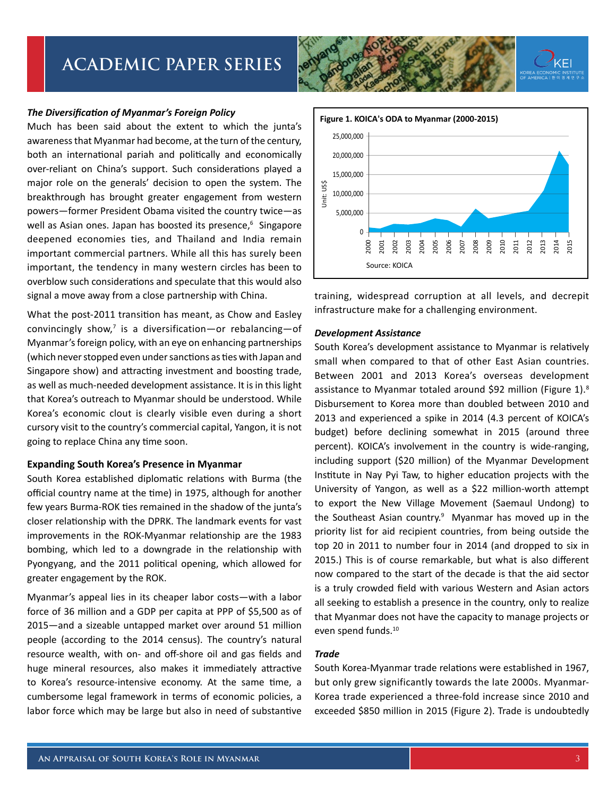#### *The Diversification of Myanmar's Foreign Policy*

Much has been said about the extent to which the junta's awareness that Myanmar had become, at the turn of the century, both an international pariah and politically and economically over-reliant on China's support. Such considerations played a major role on the generals' decision to open the system. The breakthrough has brought greater engagement from western powers—former President Obama visited the country twice—as well as Asian ones. Japan has boosted its presence,<sup>6</sup> Singapore deepened economies ties, and Thailand and India remain important commercial partners. While all this has surely been important, the tendency in many western circles has been to overblow such considerations and speculate that this would also signal a move away from a close partnership with China.

What the post-2011 transition has meant, as Chow and Easley convincingly show, $7$  is a diversification-or rebalancing-of Myanmar's foreign policy, with an eye on enhancing partnerships (which never stopped even under sanctions as ties with Japan and Singapore show) and attracting investment and boosting trade, as well as much-needed development assistance. It is in this light that Korea's outreach to Myanmar should be understood. While Korea's economic clout is clearly visible even during a short cursory visit to the country's commercial capital, Yangon, it is not going to replace China any time soon.

#### **Expanding South Korea's Presence in Myanmar**

South Korea established diplomatic relations with Burma (the official country name at the time) in 1975, although for another few years Burma-ROK ties remained in the shadow of the junta's closer relationship with the DPRK. The landmark events for vast improvements in the ROK-Myanmar relationship are the 1983 bombing, which led to a downgrade in the relationship with Pyongyang, and the 2011 political opening, which allowed for greater engagement by the ROK.

Myanmar's appeal lies in its cheaper labor costs—with a labor force of 36 million and a GDP per capita at PPP of \$5,500 as of 2015—and a sizeable untapped market over around 51 million people (according to the 2014 census). The country's natural resource wealth, with on- and off-shore oil and gas fields and huge mineral resources, also makes it immediately attractive to Korea's resource-intensive economy. At the same time, a cumbersome legal framework in terms of economic policies, a labor force which may be large but also in need of substantive





training, widespread corruption at all levels, and decrepit infrastructure make for a challenging environment.

#### *Development Assistance*

South Korea's development assistance to Myanmar is relatively small when compared to that of other East Asian countries. Between 2001 and 2013 Korea's overseas development assistance to Myanmar totaled around \$92 million (Figure 1).<sup>8</sup> Disbursement to Korea more than doubled between 2010 and 2013 and experienced a spike in 2014 (4.3 percent of KOICA's budget) before declining somewhat in 2015 (around three percent). KOICA's involvement in the country is wide-ranging, including support (\$20 million) of the Myanmar Development Institute in Nay Pyi Taw, to higher education projects with the University of Yangon, as well as a \$22 million-worth attempt to export the New Village Movement (Saemaul Undong) to the Southeast Asian country.<sup>9</sup> Myanmar has moved up in the priority list for aid recipient countries, from being outside the top 20 in 2011 to number four in 2014 (and dropped to six in 2015.) This is of course remarkable, but what is also different now compared to the start of the decade is that the aid sector is a truly crowded field with various Western and Asian actors all seeking to establish a presence in the country, only to realize that Myanmar does not have the capacity to manage projects or even spend funds.10

#### *Trade*

South Korea-Myanmar trade relations were established in 1967, but only grew significantly towards the late 2000s. Myanmar-Korea trade experienced a three-fold increase since 2010 and exceeded \$850 million in 2015 (Figure 2). Trade is undoubtedly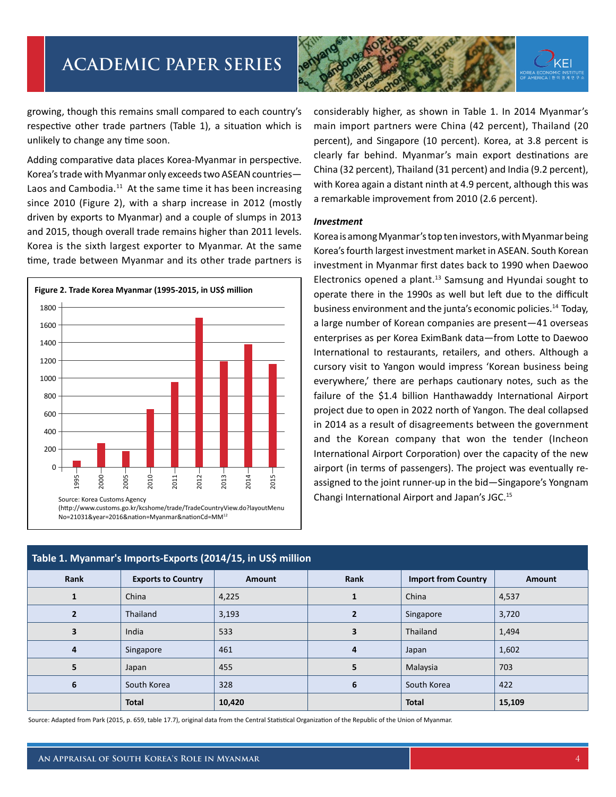

growing, though this remains small compared to each country's respective other trade partners (Table 1), a situation which is unlikely to change any time soon.

Adding comparative data places Korea-Myanmar in perspective. Korea's trade with Myanmar only exceeds two ASEAN countries— Laos and Cambodia.<sup>11</sup> At the same time it has been increasing since 2010 (Figure 2), with a sharp increase in 2012 (mostly driven by exports to Myanmar) and a couple of slumps in 2013 and 2015, though overall trade remains higher than 2011 levels. Korea is the sixth largest exporter to Myanmar. At the same time, trade between Myanmar and its other trade partners is



considerably higher, as shown in Table 1. In 2014 Myanmar's main import partners were China (42 percent), Thailand (20 percent), and Singapore (10 percent). Korea, at 3.8 percent is clearly far behind. Myanmar's main export destinations are China (32 percent), Thailand (31 percent) and India (9.2 percent), with Korea again a distant ninth at 4.9 percent, although this was a remarkable improvement from 2010 (2.6 percent).

#### *Investment*

Korea is among Myanmar's top ten investors, with Myanmar being Korea's fourth largest investment market in ASEAN. South Korean investment in Myanmar first dates back to 1990 when Daewoo Electronics opened a plant. $13$  Samsung and Hyundai sought to operate there in the 1990s as well but left due to the difficult business environment and the junta's economic policies.<sup>14</sup> Today, a large number of Korean companies are present—41 overseas enterprises as per Korea EximBank data—from Lotte to Daewoo International to restaurants, retailers, and others. Although a cursory visit to Yangon would impress 'Korean business being everywhere,' there are perhaps cautionary notes, such as the failure of the \$1.4 billion Hanthawaddy International Airport project due to open in 2022 north of Yangon. The deal collapsed in 2014 as a result of disagreements between the government and the Korean company that won the tender (Incheon International Airport Corporation) over the capacity of the new airport (in terms of passengers). The project was eventually reassigned to the joint runner-up in the bid—Singapore's Yongnam Changi International Airport and Japan's JGC.15

| Table 1. Myanmar's Imports-Exports (2014/15, in US\$ million |                           |               |      |                            |               |
|--------------------------------------------------------------|---------------------------|---------------|------|----------------------------|---------------|
| Rank                                                         | <b>Exports to Country</b> | <b>Amount</b> | Rank | <b>Import from Country</b> | <b>Amount</b> |
| 1                                                            | China                     | 4,225         |      | China                      | 4,537         |
|                                                              | Thailand                  | 3,193         |      | Singapore                  | 3,720         |
| 3                                                            | India                     | 533           | 3    | Thailand                   | 1,494         |
| 4                                                            | Singapore                 | 461           | 4    | Japan                      | 1,602         |
| 5                                                            | Japan                     | 455           | 5    | Malaysia                   | 703           |
| 6                                                            | South Korea               | 328           | 6    | South Korea                | 422           |
|                                                              | <b>Total</b>              | 10,420        |      | <b>Total</b>               | 15,109        |

Source: Adapted from Park (2015, p. 659, table 17.7), original data from the Central Statistical Organization of the Republic of the Union of Myanmar.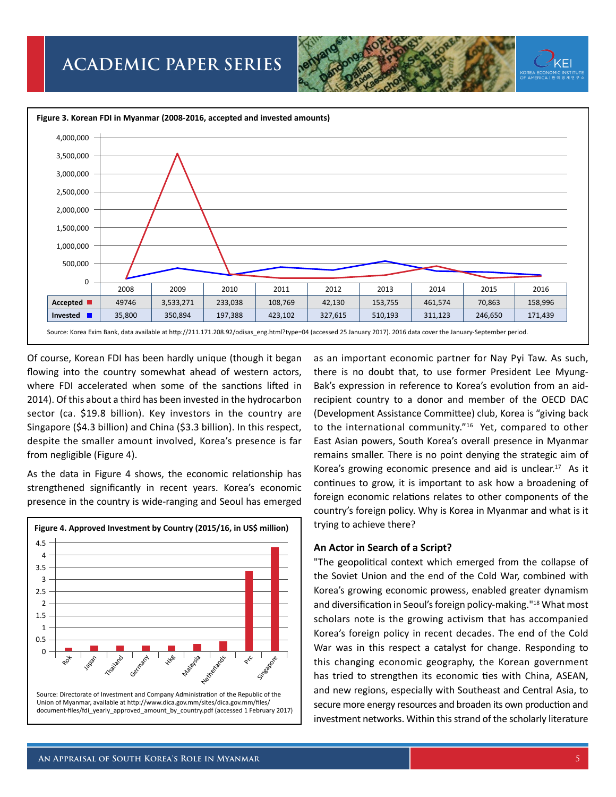



Of course, Korean FDI has been hardly unique (though it began flowing into the country somewhat ahead of western actors, where FDI accelerated when some of the sanctions lifted in 2014). Of this about a third has been invested in the hydrocarbon sector (ca. \$19.8 billion). Key investors in the country are Singapore (\$4.3 billion) and China (\$3.3 billion). In this respect, despite the smaller amount involved, Korea's presence is far from negligible (Figure 4).

As the data in Figure 4 shows, the economic relationship has strengthened significantly in recent years. Korea's economic presence in the country is wide-ranging and Seoul has emerged



as an important economic partner for Nay Pyi Taw. As such, there is no doubt that, to use former President Lee Myung-Bak's expression in reference to Korea's evolution from an aidrecipient country to a donor and member of the OECD DAC (Development Assistance Committee) club, Korea is "giving back to the international community."<sup>16</sup> Yet, compared to other East Asian powers, South Korea's overall presence in Myanmar remains smaller. There is no point denying the strategic aim of Korea's growing economic presence and aid is unclear.<sup>17</sup> As it continues to grow, it is important to ask how a broadening of foreign economic relations relates to other components of the country's foreign policy. Why is Korea in Myanmar and what is it trying to achieve there?

#### **An Actor in Search of a Script?**

"The geopolitical context which emerged from the collapse of the Soviet Union and the end of the Cold War, combined with Korea's growing economic prowess, enabled greater dynamism and diversification in Seoul's foreign policy-making."18 What most scholars note is the growing activism that has accompanied Korea's foreign policy in recent decades. The end of the Cold War was in this respect a catalyst for change. Responding to this changing economic geography, the Korean government has tried to strengthen its economic ties with China, ASEAN, and new regions, especially with Southeast and Central Asia, to secure more energy resources and broaden its own production and investment networks. Within this strand of the scholarly literature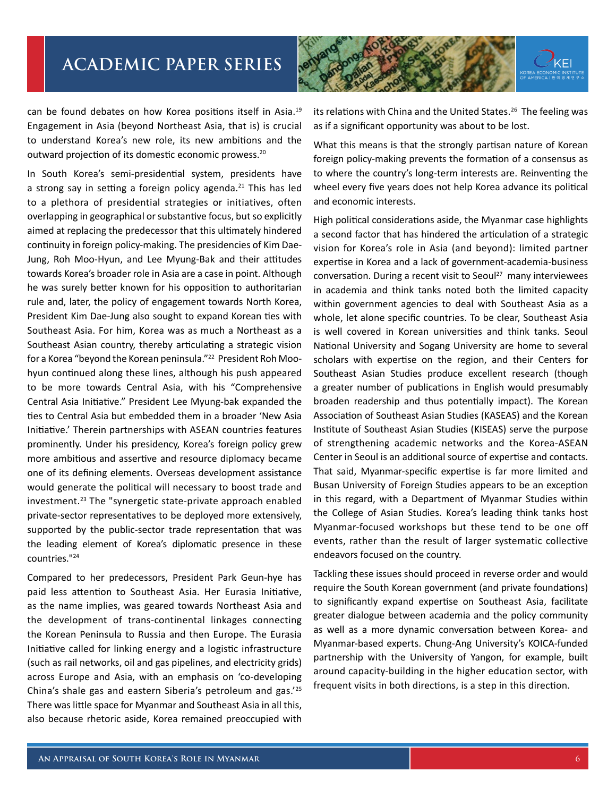

can be found debates on how Korea positions itself in Asia.19 Engagement in Asia (beyond Northeast Asia, that is) is crucial to understand Korea's new role, its new ambitions and the outward projection of its domestic economic prowess.20

In South Korea's semi-presidential system, presidents have a strong say in setting a foreign policy agenda.<sup>21</sup> This has led to a plethora of presidential strategies or initiatives, often overlapping in geographical or substantive focus, but so explicitly aimed at replacing the predecessor that this ultimately hindered continuity in foreign policy-making. The presidencies of Kim Dae-Jung, Roh Moo-Hyun, and Lee Myung-Bak and their attitudes towards Korea's broader role in Asia are a case in point. Although he was surely better known for his opposition to authoritarian rule and, later, the policy of engagement towards North Korea, President Kim Dae-Jung also sought to expand Korean ties with Southeast Asia. For him, Korea was as much a Northeast as a Southeast Asian country, thereby articulating a strategic vision for a Korea "beyond the Korean peninsula."22 President Roh Moohyun continued along these lines, although his push appeared to be more towards Central Asia, with his "Comprehensive Central Asia Initiative." President Lee Myung-bak expanded the ties to Central Asia but embedded them in a broader 'New Asia Initiative.' Therein partnerships with ASEAN countries features prominently. Under his presidency, Korea's foreign policy grew more ambitious and assertive and resource diplomacy became one of its defining elements. Overseas development assistance would generate the political will necessary to boost trade and investment.<sup>23</sup> The "synergetic state-private approach enabled private-sector representatives to be deployed more extensively, supported by the public-sector trade representation that was the leading element of Korea's diplomatic presence in these countries."24

Compared to her predecessors, President Park Geun-hye has paid less attention to Southeast Asia. Her Eurasia Initiative, as the name implies, was geared towards Northeast Asia and the development of trans-continental linkages connecting the Korean Peninsula to Russia and then Europe. The Eurasia Initiative called for linking energy and a logistic infrastructure (such as rail networks, oil and gas pipelines, and electricity grids) across Europe and Asia, with an emphasis on 'co-developing China's shale gas and eastern Siberia's petroleum and gas.'25 There was little space for Myanmar and Southeast Asia in all this, also because rhetoric aside, Korea remained preoccupied with

its relations with China and the United States.<sup>26</sup> The feeling was as if a significant opportunity was about to be lost.

What this means is that the strongly partisan nature of Korean foreign policy-making prevents the formation of a consensus as to where the country's long-term interests are. Reinventing the wheel every five years does not help Korea advance its political and economic interests.

High political considerations aside, the Myanmar case highlights a second factor that has hindered the articulation of a strategic vision for Korea's role in Asia (and beyond): limited partner expertise in Korea and a lack of government-academia-business conversation. During a recent visit to Seoul<sup>27</sup> many interviewees in academia and think tanks noted both the limited capacity within government agencies to deal with Southeast Asia as a whole, let alone specific countries. To be clear, Southeast Asia is well covered in Korean universities and think tanks. Seoul National University and Sogang University are home to several scholars with expertise on the region, and their Centers for Southeast Asian Studies produce excellent research (though a greater number of publications in English would presumably broaden readership and thus potentially impact). The Korean Association of Southeast Asian Studies (KASEAS) and the Korean Institute of Southeast Asian Studies (KISEAS) serve the purpose of strengthening academic networks and the Korea-ASEAN Center in Seoul is an additional source of expertise and contacts. That said, Myanmar-specific expertise is far more limited and Busan University of Foreign Studies appears to be an exception in this regard, with a Department of Myanmar Studies within the College of Asian Studies. Korea's leading think tanks host Myanmar-focused workshops but these tend to be one off events, rather than the result of larger systematic collective endeavors focused on the country.

Tackling these issues should proceed in reverse order and would require the South Korean government (and private foundations) to significantly expand expertise on Southeast Asia, facilitate greater dialogue between academia and the policy community as well as a more dynamic conversation between Korea- and Myanmar-based experts. Chung-Ang University's KOICA-funded partnership with the University of Yangon, for example, built around capacity-building in the higher education sector, with frequent visits in both directions, is a step in this direction.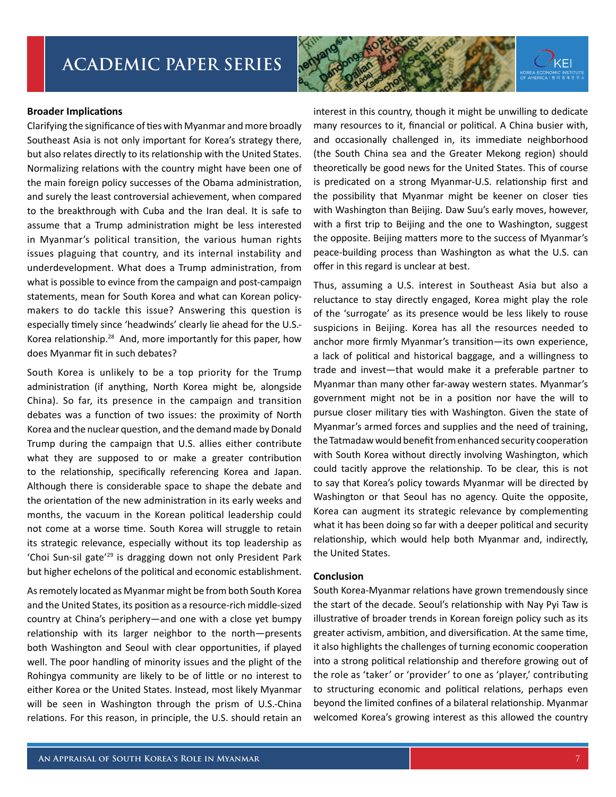#### **Broader Implications**

Clarifying the significance of ties with Myanmar and more broadly Southeast Asia is not only important for Korea's strategy there, but also relates directly to its relationship with the United States. Normalizing relations with the country might have been one of the main foreign policy successes of the Obama administration, and surely the least controversial achievement, when compared to the breakthrough with Cuba and the Iran deal. It is safe to assume that a Trump administration might be less interested in Myanmar's political transition, the various human rights issues plaguing that country, and its internal instability and underdevelopment. What does a Trump administration, from what is possible to evince from the campaign and post-campaign statements, mean for South Korea and what can Korean policymakers to do tackle this issue? Answering this question is especially timely since 'headwinds' clearly lie ahead for the U.S.- Korea relationship.28 And, more importantly for this paper, how does Myanmar fit in such debates?

South Korea is unlikely to be a top priority for the Trump administration (if anything, North Korea might be, alongside China). So far, its presence in the campaign and transition debates was a function of two issues: the proximity of North Korea and the nuclear question, and the demand made by Donald Trump during the campaign that U.S. allies either contribute what they are supposed to or make a greater contribution to the relationship, specifically referencing Korea and Japan. Although there is considerable space to shape the debate and the orientation of the new administration in its early weeks and months, the vacuum in the Korean political leadership could not come at a worse time. South Korea will struggle to retain its strategic relevance, especially without its top leadership as 'Choi Sun-sil gate'29 is dragging down not only President Park but higher echelons of the political and economic establishment.

As remotely located as Myanmar might be from both South Korea and the United States, its position as a resource-rich middle-sized country at China's periphery—and one with a close yet bumpy relationship with its larger neighbor to the north—presents both Washington and Seoul with clear opportunities, if played well. The poor handling of minority issues and the plight of the Rohingya community are likely to be of little or no interest to either Korea or the United States. Instead, most likely Myanmar will be seen in Washington through the prism of U.S.-China relations. For this reason, in principle, the U.S. should retain an



Thus, assuming a U.S. interest in Southeast Asia but also a reluctance to stay directly engaged, Korea might play the role of the 'surrogate' as its presence would be less likely to rouse suspicions in Beijing. Korea has all the resources needed to anchor more firmly Myanmar's transition—its own experience, a lack of political and historical baggage, and a willingness to trade and invest—that would make it a preferable partner to Myanmar than many other far-away western states. Myanmar's government might not be in a position nor have the will to pursue closer military ties with Washington. Given the state of Myanmar's armed forces and supplies and the need of training, the Tatmadaw would benefit from enhanced security cooperation with South Korea without directly involving Washington, which could tacitly approve the relationship. To be clear, this is not to say that Korea's policy towards Myanmar will be directed by Washington or that Seoul has no agency. Quite the opposite, Korea can augment its strategic relevance by complementing what it has been doing so far with a deeper political and security relationship, which would help both Myanmar and, indirectly, the United States.

#### **Conclusion**

South Korea-Myanmar relations have grown tremendously since the start of the decade. Seoul's relationship with Nay Pyi Taw is illustrative of broader trends in Korean foreign policy such as its greater activism, ambition, and diversification. At the same time, it also highlights the challenges of turning economic cooperation into a strong political relationship and therefore growing out of the role as 'taker' or 'provider' to one as 'player,' contributing to structuring economic and political relations, perhaps even beyond the limited confines of a bilateral relationship. Myanmar welcomed Korea's growing interest as this allowed the country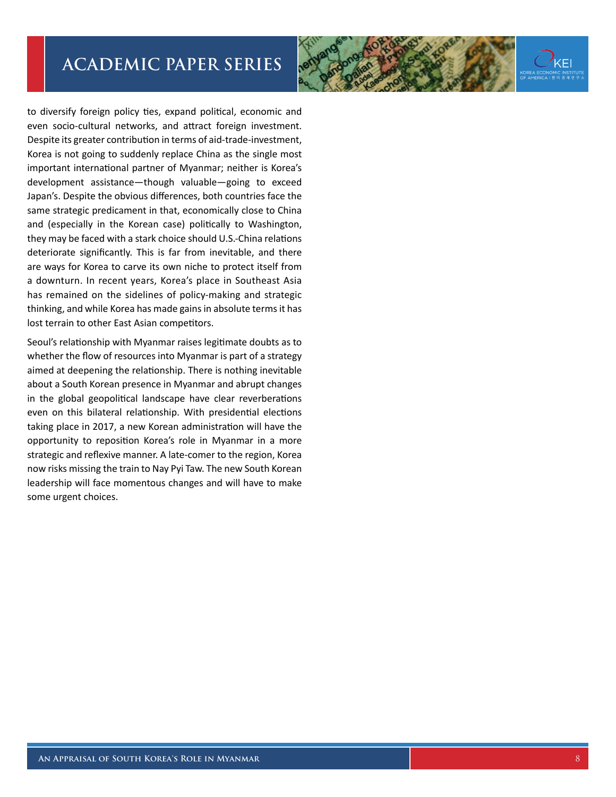

to diversify foreign policy ties, expand political, economic and even socio-cultural networks, and attract foreign investment. Despite its greater contribution in terms of aid-trade-investment, Korea is not going to suddenly replace China as the single most important international partner of Myanmar; neither is Korea's development assistance—though valuable—going to exceed Japan's. Despite the obvious differences, both countries face the same strategic predicament in that, economically close to China and (especially in the Korean case) politically to Washington, they may be faced with a stark choice should U.S.-China relations deteriorate significantly. This is far from inevitable, and there are ways for Korea to carve its own niche to protect itself from a downturn. In recent years, Korea's place in Southeast Asia has remained on the sidelines of policy-making and strategic thinking, and while Korea has made gains in absolute terms it has lost terrain to other East Asian competitors.

Seoul's relationship with Myanmar raises legitimate doubts as to whether the flow of resources into Myanmar is part of a strategy aimed at deepening the relationship. There is nothing inevitable about a South Korean presence in Myanmar and abrupt changes in the global geopolitical landscape have clear reverberations even on this bilateral relationship. With presidential elections taking place in 2017, a new Korean administration will have the opportunity to reposition Korea's role in Myanmar in a more strategic and reflexive manner. A late-comer to the region, Korea now risks missing the train to Nay Pyi Taw. The new South Korean leadership will face momentous changes and will have to make some urgent choices.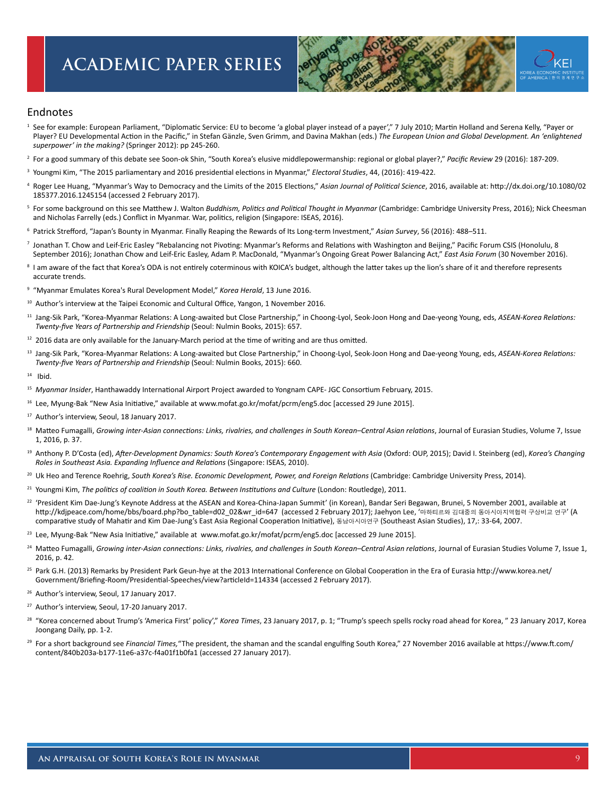

#### Endnotes

- <sup>1</sup> See for example: European Parliament, "Diplomatic Service: EU to become 'a global player instead of a payer'," 7 July 2010; Martin Holland and Serena Kelly, "Payer or Player? EU Developmental Action in the Pacific," in Stefan Gänzle, Sven Grimm, and Davina Makhan (eds.) *The European Union and Global Development. An 'enlightened superpower' in the making?* (Springer 2012): pp 245-260.
- 2 For a good summary of this debate see Soon-ok Shin, "South Korea's elusive middlepowermanship: regional or global player?," *Pacific Review* 29 (2016): 187-209.
- 3 Youngmi Kim, "The 2015 parliamentary and 2016 presidential elections in Myanmar," *Electoral Studies*, 44, (2016): 419-422.
- 4 Roger Lee Huang, "Myanmar's Way to Democracy and the Limits of the 2015 Elections," *Asian Journal of Political Science*, 2016, available at: http://dx.doi.org/10.1080/02 185377.2016.1245154 (accessed 2 February 2017).
- 5 For some background on this see Matthew J. Walton *Buddhism, Politics and Political Thought in Myanmar* (Cambridge: Cambridge University Press, 2016); Nick Cheesman and Nicholas Farrelly (eds.) Conflict in Myanmar. War, politics, religion (Singapore: ISEAS, 2016).
- 6 Patrick Strefford, "Japan's Bounty in Myanmar. Finally Reaping the Rewards of Its Long-term Investment," *Asian Survey*, 56 (2016): 488–511.
- 7 Jonathan T. Chow and Leif-Eric Easley "Rebalancing not Pivoting: Myanmar's Reforms and Relations with Washington and Beijing," Pacific Forum CSIS (Honolulu, 8 September 2016); Jonathan Chow and Leif-Eric Easley, Adam P. MacDonald, "Myanmar's Ongoing Great Power Balancing Act," *East Asia Forum* (30 November 2016).
- <sup>8</sup> I am aware of the fact that Korea's ODA is not entirely coterminous with KOICA's budget, although the latter takes up the lion's share of it and therefore represents accurate trends.
- <sup>9</sup> "Myanmar Emulates Korea's Rural Development Model," *Korea Herald*, 13 June 2016.
- <sup>10</sup> Author's interview at the Taipei Economic and Cultural Office, Yangon, 1 November 2016.
- 11 Jang-Sik Park, "Korea-Myanmar Relations: A Long-awaited but Close Partnership," in Choong-Lyol, Seok-Joon Hong and Dae-yeong Young, eds, *ASEAN-Korea Relations: Twenty-five Years of Partnership and Friendship* (Seoul: Nulmin Books, 2015): 657.
- $12$  2016 data are only available for the January-March period at the time of writing and are thus omitted.
- 13 Jang-Sik Park, "Korea-Myanmar Relations: A Long-awaited but Close Partnership," in Choong-Lyol, Seok-Joon Hong and Dae-yeong Young, eds, *ASEAN-Korea Relations: Twenty-five Years of Partnership and Friendship* (Seoul: Nulmin Books, 2015): 660.
- $14$  Ibid.
- <sup>15</sup> *Myanmar Insider*, Hanthawaddy International Airport Project awarded to Yongnam CAPE- JGC Consortium February, 2015.
- 16 Lee, Myung-Bak "New Asia Initiative," available at www.mofat.go.kr/mofat/pcrm/eng5.doc [accessed 29 June 2015].
- <sup>17</sup> Author's interview, Seoul, 18 January 2017.
- <sup>18</sup> Matteo Fumagalli, Growing inter-Asian connections: Links, rivalries, and challenges in South Korean–Central Asian relations, Journal of Eurasian Studies, Volume 7, Issue 1, 2016, p. 37.
- 19 Anthony P. D'Costa (ed), *After-Development Dynamics: South Korea's Contemporary Engagement with Asia* (Oxford: OUP, 2015); David I. Steinberg (ed), *Korea's Changing Roles in Southeast Asia. Expanding Influence and Relations* (Singapore: ISEAS, 2010).
- <sup>20</sup> Uk Heo and Terence Roehrig, South Korea's Rise. Economic Development, Power, and Foreign Relations (Cambridge: Cambridge University Press, 2014).
- 21 Youngmi Kim, *The politics of coalition in South Korea. Between Institutions and Culture* (London: Routledge), 2011.
- <sup>22</sup> 'President Kim Dae-Jung's Keynote Address at the ASEAN and Korea-China-Japan Summit' (in Korean), Bandar Seri Begawan, Brunei, 5 November 2001, available at http://kdjpeace.com/home/bbs/board.php?bo\_table=d02\_02&wr\_id=647 (accessed 2 February 2017); Jaehyon Lee, '마하티르와 김대중의 동아시아지역협력 구상비교 연구' (A comparative study of Mahatir and Kim Dae-Jung's East Asia Regional Cooperation Initiative), 동남아시아연구 (Southeast Asian Studies), 17,: 33-64, 2007.
- <sup>23</sup> Lee, Myung-Bak "New Asia Initiative," available at www.mofat.go.kr/mofat/pcrm/eng5.doc [accessed 29 June 2015].
- <sup>24</sup> Matteo Fumagalli, Growing inter-Asian connections: Links, rivalries, and challenges in South Korean–Central Asian relations, Journal of Eurasian Studies Volume 7, Issue 1, 2016, p. 42.
- <sup>25</sup> Park G.H. (2013) Remarks by President Park Geun-hye at the 2013 International Conference on Global Cooperation in the Era of Eurasia http://www.korea.net/ Government/Briefing-Room/Presidential-Speeches/view?articleId=114334 (accessed 2 February 2017).
- <sup>26</sup> Author's interview, Seoul, 17 January 2017.
- <sup>27</sup> Author's interview, Seoul, 17-20 January 2017.
- 28 "Korea concerned about Trump's 'America First' policy'," *Korea Times*, 23 January 2017, p. 1; "Trump's speech spells rocky road ahead for Korea, " 23 January 2017, Korea Joongang Daily, pp. 1-2.
- <sup>29</sup> For a short background see Financial Times, "The president, the shaman and the scandal engulfing South Korea," 27 November 2016 available at https://www.ft.com/ content/840b203a-b177-11e6-a37c-f4a01f1b0fa1 (accessed 27 January 2017).